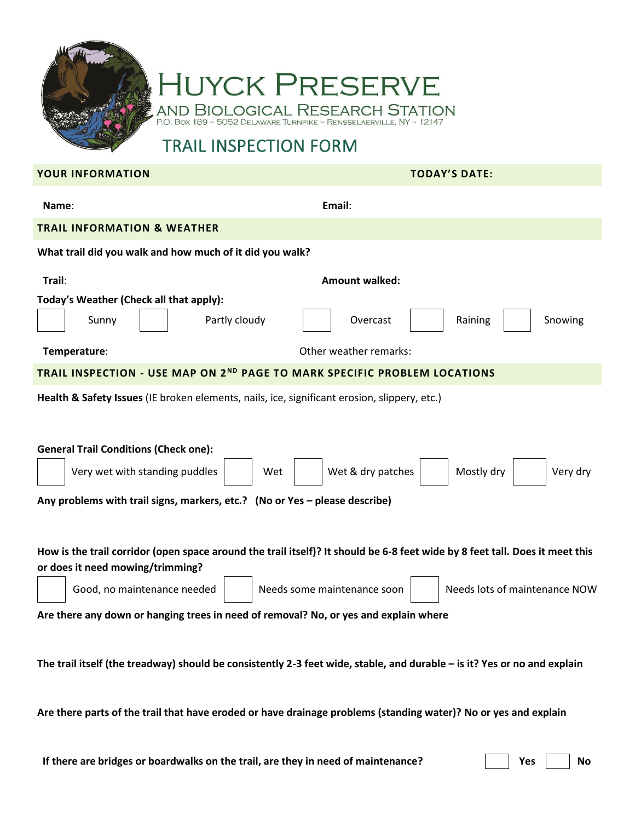

## **HUYCK PRESERVE AND BIOLOGICAL RESEARCH STATION** P.O. BOX 189 ~ 5052 DELAWARE TURNPIKE ~ RENSSELAERVILLE, NY ~ 12147

## TRAIL INSPECTION FORM

## **YOUR INFORMATION TODAY'S DATE:**

| Name:                                                                                                                                                                                             | Email:                                                   |
|---------------------------------------------------------------------------------------------------------------------------------------------------------------------------------------------------|----------------------------------------------------------|
| <b>TRAIL INFORMATION &amp; WEATHER</b>                                                                                                                                                            |                                                          |
| What trail did you walk and how much of it did you walk?                                                                                                                                          |                                                          |
| Trail:                                                                                                                                                                                            | <b>Amount walked:</b>                                    |
| Today's Weather (Check all that apply):<br>Partly cloudy<br>Sunny<br>Temperature:                                                                                                                 | Overcast<br>Raining<br>Snowing<br>Other weather remarks: |
| TRAIL INSPECTION - USE MAP ON 2 <sup>ND</sup> PAGE TO MARK SPECIFIC PROBLEM LOCATIONS                                                                                                             |                                                          |
| Health & Safety Issues (IE broken elements, nails, ice, significant erosion, slippery, etc.)<br><b>General Trail Conditions (Check one):</b>                                                      |                                                          |
| Very wet with standing puddles<br>Wet & dry patches<br>Mostly dry<br>Wet<br>Very dry<br>Any problems with trail signs, markers, etc.? (No or Yes - please describe)                               |                                                          |
| How is the trail corridor (open space around the trail itself)? It should be 6-8 feet wide by 8 feet tall. Does it meet this<br>or does it need mowing/trimming?<br>Needs lots of maintenance NOW |                                                          |
| Good, no maintenance needed<br>Needs some maintenance soon<br>Are there any down or hanging trees in need of removal? No, or yes and explain where                                                |                                                          |
| The trail itself (the treadway) should be consistently 2-3 feet wide, stable, and durable – is it? Yes or no and explain                                                                          |                                                          |
| Are there parts of the trail that have eroded or have drainage problems (standing water)? No or yes and explain                                                                                   |                                                          |

**If there are bridges or boardwalks on the trail, are they in need of maintenance?** <br> **No**